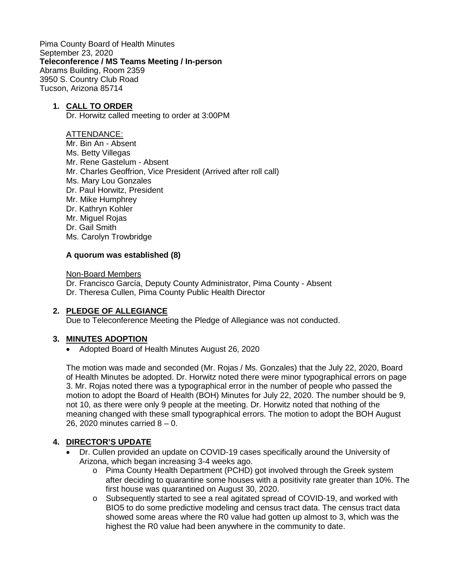Pima County Board of Health Minutes September 23, 2020 **Teleconference / MS Teams Meeting / In-person** Abrams Building, Room 2359 3950 S. Country Club Road Tucson, Arizona 85714

### **1. CALL TO ORDER**

Dr. Horwitz called meeting to order at 3:00PM

#### ATTENDANCE:

Mr. Bin An - Absent Ms. Betty Villegas Mr. Rene Gastelum - Absent Mr. Charles Geoffrion, Vice President (Arrived after roll call) Ms. Mary Lou Gonzales Dr. Paul Horwitz, President Mr. Mike Humphrey Dr. Kathryn Kohler Mr. Miguel Rojas Dr. Gail Smith Ms. Carolyn Trowbridge

#### **A quorum was established (8)**

Non-Board Members

Dr. Francisco García, Deputy County Administrator, Pima County - Absent Dr. Theresa Cullen, Pima County Public Health Director

#### **2. PLEDGE OF ALLEGIANCE**

Due to Teleconference Meeting the Pledge of Allegiance was not conducted.

#### **3. MINUTES ADOPTION**

• Adopted Board of Health Minutes August 26, 2020

The motion was made and seconded (Mr. Rojas / Ms. Gonzales) that the July 22, 2020, Board of Health Minutes be adopted. Dr. Horwitz noted there were minor typographical errors on page 3. Mr. Rojas noted there was a typographical error in the number of people who passed the motion to adopt the Board of Health (BOH) Minutes for July 22, 2020. The number should be 9, not 10, as there were only 9 people at the meeting. Dr. Horwitz noted that nothing of the meaning changed with these small typographical errors. The motion to adopt the BOH August 26, 2020 minutes carried 8 – 0.

#### **4. DIRECTOR'S UPDATE**

- Dr. Cullen provided an update on COVID-19 cases specifically around the University of Arizona, which began increasing 3-4 weeks ago.
	- o Pima County Health Department (PCHD) got involved through the Greek system after deciding to quarantine some houses with a positivity rate greater than 10%. The first house was quarantined on August 30, 2020.
	- o Subsequently started to see a real agitated spread of COVID-19, and worked with BIO5 to do some predictive modeling and census tract data. The census tract data showed some areas where the R0 value had gotten up almost to 3, which was the highest the R0 value had been anywhere in the community to date.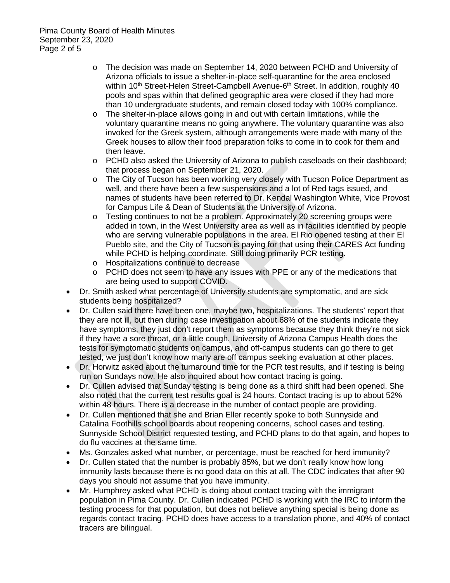- o The decision was made on September 14, 2020 between PCHD and University of Arizona officials to issue a shelter-in-place self-quarantine for the area enclosed within 10<sup>th</sup> Street-Helen Street-Campbell Avenue-6<sup>th</sup> Street. In addition, roughly 40 pools and spas within that defined geographic area were closed if they had more than 10 undergraduate students, and remain closed today with 100% compliance.
- o The shelter-in-place allows going in and out with certain limitations, while the voluntary quarantine means no going anywhere. The voluntary quarantine was also invoked for the Greek system, although arrangements were made with many of the Greek houses to allow their food preparation folks to come in to cook for them and then leave.
- o PCHD also asked the University of Arizona to publish caseloads on their dashboard; that process began on September 21, 2020.
- o The City of Tucson has been working very closely with Tucson Police Department as well, and there have been a few suspensions and a lot of Red tags issued, and names of students have been referred to Dr. Kendal Washington White, Vice Provost for Campus Life & Dean of Students at the University of Arizona.
- $\circ$  Testing continues to not be a problem. Approximately 20 screening groups were added in town, in the West University area as well as in facilities identified by people who are serving vulnerable populations in the area. El Rio opened testing at their El Pueblo site, and the City of Tucson is paying for that using their CARES Act funding while PCHD is helping coordinate. Still doing primarily PCR testing.
- o Hospitalizations continue to decrease
- o PCHD does not seem to have any issues with PPE or any of the medications that are being used to support COVID.
- Dr. Smith asked what percentage of University students are symptomatic, and are sick students being hospitalized?
- Dr. Cullen said there have been one, maybe two, hospitalizations. The students' report that they are not ill, but then during case investigation about 68% of the students indicate they have symptoms, they just don't report them as symptoms because they think they're not sick if they have a sore throat, or a little cough. University of Arizona Campus Health does the tests for symptomatic students on campus, and off-campus students can go there to get tested, we just don't know how many are off campus seeking evaluation at other places.
- Dr. Horwitz asked about the turnaround time for the PCR test results, and if testing is being run on Sundays now. He also inquired about how contact tracing is going.
- Dr. Cullen advised that Sunday testing is being done as a third shift had been opened. She also noted that the current test results goal is 24 hours. Contact tracing is up to about 52% within 48 hours. There is a decrease in the number of contact people are providing.
- Dr. Cullen mentioned that she and Brian Eller recently spoke to both Sunnyside and Catalina Foothills school boards about reopening concerns, school cases and testing. Sunnyside School District requested testing, and PCHD plans to do that again, and hopes to do flu vaccines at the same time.
- Ms. Gonzales asked what number, or percentage, must be reached for herd immunity?
- Dr. Cullen stated that the number is probably 85%, but we don't really know how long immunity lasts because there is no good data on this at all. The CDC indicates that after 90 days you should not assume that you have immunity.
- Mr. Humphrey asked what PCHD is doing about contact tracing with the immigrant population in Pima County. Dr. Cullen indicated PCHD is working with the IRC to inform the testing process for that population, but does not believe anything special is being done as regards contact tracing. PCHD does have access to a translation phone, and 40% of contact tracers are bilingual.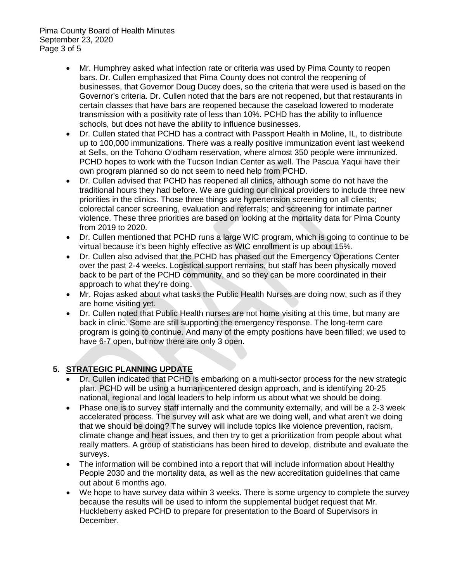Pima County Board of Health Minutes September 23, 2020 Page 3 of 5

- Mr. Humphrey asked what infection rate or criteria was used by Pima County to reopen bars. Dr. Cullen emphasized that Pima County does not control the reopening of businesses, that Governor Doug Ducey does, so the criteria that were used is based on the Governor's criteria. Dr. Cullen noted that the bars are not reopened, but that restaurants in certain classes that have bars are reopened because the caseload lowered to moderate transmission with a positivity rate of less than 10%. PCHD has the ability to influence schools, but does not have the ability to influence businesses.
- Dr. Cullen stated that PCHD has a contract with Passport Health in Moline, IL, to distribute up to 100,000 immunizations. There was a really positive immunization event last weekend at Sells, on the Tohono O'odham reservation, where almost 350 people were immunized. PCHD hopes to work with the Tucson Indian Center as well. The Pascua Yaqui have their own program planned so do not seem to need help from PCHD.
- Dr. Cullen advised that PCHD has reopened all clinics, although some do not have the traditional hours they had before. We are guiding our clinical providers to include three new priorities in the clinics. Those three things are hypertension screening on all clients; colorectal cancer screening, evaluation and referrals; and screening for intimate partner violence. These three priorities are based on looking at the mortality data for Pima County from 2019 to 2020.
- Dr. Cullen mentioned that PCHD runs a large WIC program, which is going to continue to be virtual because it's been highly effective as WIC enrollment is up about 15%.
- Dr. Cullen also advised that the PCHD has phased out the Emergency Operations Center over the past 2-4 weeks. Logistical support remains, but staff has been physically moved back to be part of the PCHD community, and so they can be more coordinated in their approach to what they're doing.
- Mr. Rojas asked about what tasks the Public Health Nurses are doing now, such as if they are home visiting yet.
- Dr. Cullen noted that Public Health nurses are not home visiting at this time, but many are back in clinic. Some are still supporting the emergency response. The long-term care program is going to continue. And many of the empty positions have been filled; we used to have 6-7 open, but now there are only 3 open.

## **5. STRATEGIC PLANNING UPDATE**

- Dr. Cullen indicated that PCHD is embarking on a multi-sector process for the new strategic plan. PCHD will be using a human-centered design approach, and is identifying 20-25 national, regional and local leaders to help inform us about what we should be doing.
- Phase one is to survey staff internally and the community externally, and will be a 2-3 week accelerated process. The survey will ask what are we doing well, and what aren't we doing that we should be doing? The survey will include topics like violence prevention, racism, climate change and heat issues, and then try to get a prioritization from people about what really matters. A group of statisticians has been hired to develop, distribute and evaluate the surveys.
- The information will be combined into a report that will include information about Healthy People 2030 and the mortality data, as well as the new accreditation guidelines that came out about 6 months ago.
- We hope to have survey data within 3 weeks. There is some urgency to complete the survey because the results will be used to inform the supplemental budget request that Mr. Huckleberry asked PCHD to prepare for presentation to the Board of Supervisors in December.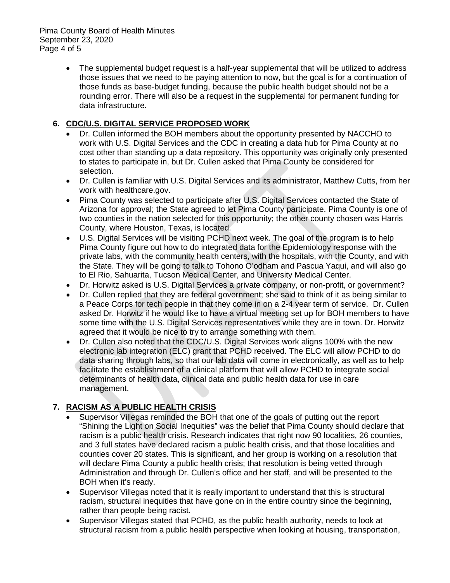• The supplemental budget request is a half-year supplemental that will be utilized to address those issues that we need to be paying attention to now, but the goal is for a continuation of those funds as base-budget funding, because the public health budget should not be a rounding error. There will also be a request in the supplemental for permanent funding for data infrastructure.

# **6. CDC/U.S. DIGITAL SERVICE PROPOSED WORK**

- Dr. Cullen informed the BOH members about the opportunity presented by NACCHO to work with U.S. Digital Services and the CDC in creating a data hub for Pima County at no cost other than standing up a data repository. This opportunity was originally only presented to states to participate in, but Dr. Cullen asked that Pima County be considered for selection.
- Dr. Cullen is familiar with U.S. Digital Services and its administrator, Matthew Cutts, from her work with healthcare.gov.
- Pima County was selected to participate after U.S. Digital Services contacted the State of Arizona for approval; the State agreed to let Pima County participate. Pima County is one of two counties in the nation selected for this opportunity; the other county chosen was Harris County, where Houston, Texas, is located.
- U.S. Digital Services will be visiting PCHD next week. The goal of the program is to help Pima County figure out how to do integrated data for the Epidemiology response with the private labs, with the community health centers, with the hospitals, with the County, and with the State. They will be going to talk to Tohono O'odham and Pascua Yaqui, and will also go to El Rio, Sahuarita, Tucson Medical Center, and University Medical Center.
- Dr. Horwitz asked is U.S. Digital Services a private company, or non-profit, or government?
- Dr. Cullen replied that they are federal government; she said to think of it as being similar to a Peace Corps for tech people in that they come in on a 2-4 year term of service. Dr. Cullen asked Dr. Horwitz if he would like to have a virtual meeting set up for BOH members to have some time with the U.S. Digital Services representatives while they are in town. Dr. Horwitz agreed that it would be nice to try to arrange something with them.
- Dr. Cullen also noted that the CDC/U.S. Digital Services work aligns 100% with the new electronic lab integration (ELC) grant that PCHD received. The ELC will allow PCHD to do data sharing through labs, so that our lab data will come in electronically, as well as to help facilitate the establishment of a clinical platform that will allow PCHD to integrate social determinants of health data, clinical data and public health data for use in care management.

## **7. RACISM AS A PUBLIC HEALTH CRISIS**

- Supervisor Villegas reminded the BOH that one of the goals of putting out the report "Shining the Light on Social Inequities" was the belief that Pima County should declare that racism is a public health crisis. Research indicates that right now 90 localities, 26 counties, and 3 full states have declared racism a public health crisis, and that those localities and counties cover 20 states. This is significant, and her group is working on a resolution that will declare Pima County a public health crisis; that resolution is being vetted through Administration and through Dr. Cullen's office and her staff, and will be presented to the BOH when it's ready.
- Supervisor Villegas noted that it is really important to understand that this is structural racism, structural inequities that have gone on in the entire country since the beginning, rather than people being racist.
- Supervisor Villegas stated that PCHD, as the public health authority, needs to look at structural racism from a public health perspective when looking at housing, transportation,